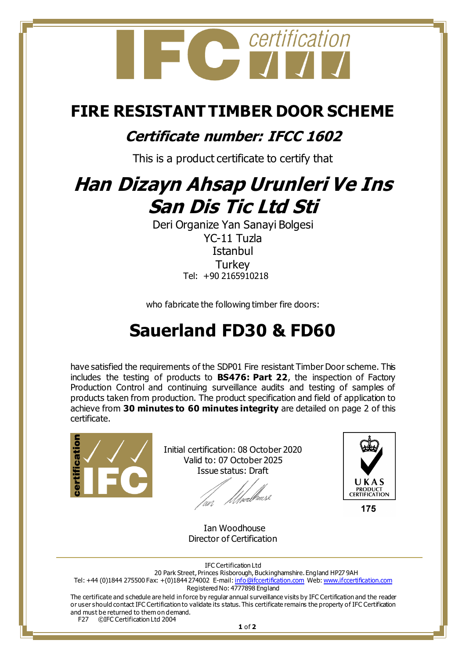

### **FIRE RESISTANT TIMBER DOOR SCHEME**

### **Certificate number: IFCC 1602**

This is a product certificate to certify that

# **Han Dizayn Ahsap Urunleri Ve Ins San Dis Tic Ltd Sti**

Deri Organize Yan Sanayi Bolgesi YC-11 Tuzla **Istanbul Turkey** Tel: +90 2165910218

who fabricate the following timber fire doors:

## **Sauerland FD30 & FD60**

have satisfied the requirements of the SDP01 Fire resistant Timber Door scheme. This includes the testing of products to **BS476: Part 22**, the inspection of Factory Production Control and continuing surveillance audits and testing of samples of products taken from production. The product specification and field of application to achieve from **30 minutes to 60 minutes integrity** are detailed on page 2 of this certificate.



Initial certification: 08 October 2020 Valid to: 07 October 2025 Issue status: Draft

*Ulve*rbause



175

 Ian Woodhouse Director of Certification

IFC Certification Ltd

20 Park Street, Princes Risborough, Buckinghamshire. England HP27 9AH

Tel: +44 (0)1844 275500 Fax: +(0)1844 274002 E-mail[: info@ifccertification.com](mailto:info@ifccertification.com) Web[: www.ifccertification.com](http://www.ifccertification.com/) Registered No: 4777898 England

The certificate and schedule are held in force by regular annual surveillance visits by IFC Certification and the reader or user should contact IFC Certification to validate its status. This certificate remains the property of IFC Certification and must be returned to them on demand. F27 ©IFC Certification Ltd 2004